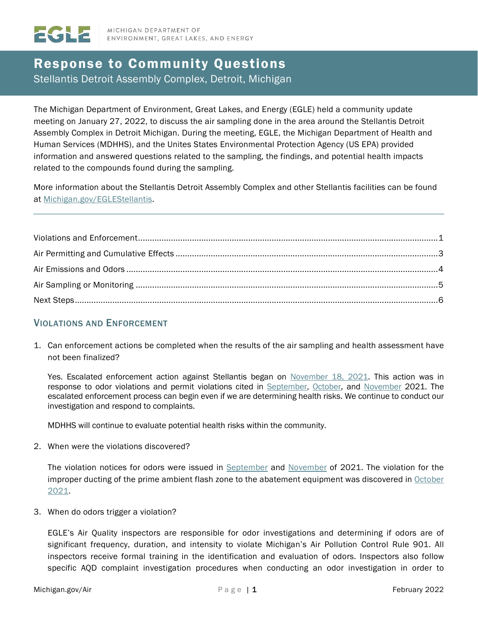# Response to Community Questions Stellantis Detroit Assembly Complex, Detroit, Michigan

The Michigan Department of Environment, Great Lakes, and Energy (EGLE) held a community update meeting on January 27, 2022, to discuss the air sampling done in the area around the Stellantis Detroit Assembly Complex in Detroit Michigan. During the meeting, EGLE, the Michigan Department of Health and Human Services (MDHHS), and the Unites States Environmental Protection Agency (US EPA) provided information and answered questions related to the sampling, the findings, and potential health impacts related to the compounds found during the sampling.

More information about the Stellantis Detroit Assembly Complex and other Stellantis facilities can be found at [Michigan.gov/EGLEStellantis.](https://www.michigan.gov/EGLEStellantis)

# <span id="page-0-0"></span>VIOLATIONS AND ENFORCEMENT

1. Can enforcement actions be completed when the results of the air sampling and health assessment have not been finalized?

Yes. Escalated enforcement action against Stellantis began on [November 18, 2021.](https://www.egle.state.mi.us/aps/downloads/SRN/N2155/N2155_ENFN_20211118.pdf) This action was in response to odor violations and permit violations cited in [September,](https://www.egle.state.mi.us/aps/downloads/SRN/N2155/N2155_VN_20210920.pdf) [October,](https://www.egle.state.mi.us/aps/downloads/SRN/N2155/N2155_VN_20211020.pdf) and [November](https://www.egle.state.mi.us/aps/downloads/SRN/N2155/N2155_VN_20211103.pdf) 2021. The escalated enforcement process can begin even if we are determining health risks. We continue to conduct our investigation and respond to complaints.

MDHHS will continue to evaluate potential health risks within the community.

2. When were the violations discovered?

The violation notices for odors were issued in [September](https://www.egle.state.mi.us/aps/downloads/SRN/N2155/N2155_VN_20210920.pdf) and [November](https://www.egle.state.mi.us/aps/downloads/SRN/N2155/N2155_VN_20211103.pdf) of 2021. The violation for the improper ducting of the prime ambient flash zone to the abatement equipment was discovered in [October](https://www.egle.state.mi.us/aps/downloads/SRN/N2155/N2155_VN_20211020.pdf)  [2021.](https://www.egle.state.mi.us/aps/downloads/SRN/N2155/N2155_VN_20211020.pdf)

3. When do odors trigger a violation?

EGLE's Air Quality inspectors are responsible for odor investigations and determining if odors are of significant frequency, duration, and intensity to violate Michigan's Air Pollution Control Rule 901. All inspectors receive formal training in the identification and evaluation of odors. Inspectors also follow specific AQD complaint investigation procedures when conducting an odor investigation in order to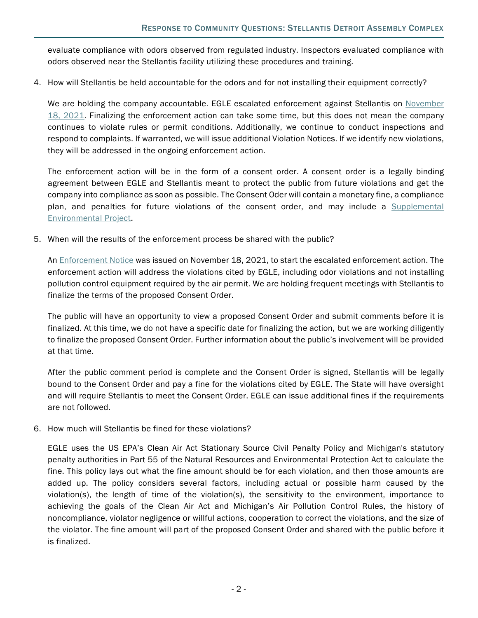evaluate compliance with odors observed from regulated industry. Inspectors evaluated compliance with odors observed near the Stellantis facility utilizing these procedures and training.

4. How will Stellantis be held accountable for the odors and for not installing their equipment correctly?

We are holding the company accountable. EGLE escalated enforcement against Stellantis on November [18, 2021.](https://www.egle.state.mi.us/aps/downloads/SRN/N2155/N2155_ENFN_20211118.pdf) Finalizing the enforcement action can take some time, but this does not mean the company continues to violate rules or permit conditions. Additionally, we continue to conduct inspections and respond to complaints. If warranted, we will issue additional Violation Notices. If we identify new violations, they will be addressed in the ongoing enforcement action.

The enforcement action will be in the form of a consent order. A consent order is a legally binding agreement between EGLE and Stellantis meant to protect the public from future violations and get the company into compliance as soon as possible. The Consent Oder will contain a monetary fine, a compliance plan, and penalties for future violations of the consent order, and may include a [Supplemental](https://www.michigan.gov/egle/0,9429,7-135-3310_70317-537516--,00.html)  [Environmental Project.](https://www.michigan.gov/egle/0,9429,7-135-3310_70317-537516--,00.html)

5. When will the results of the enforcement process be shared with the public?

An [Enforcement Notice](https://www.egle.state.mi.us/aps/downloads/SRN/N2155/N2155_ENFN_20211118.pdf) was issued on November 18, 2021, to start the escalated enforcement action. The enforcement action will address the violations cited by EGLE, including odor violations and not installing pollution control equipment required by the air permit. We are holding frequent meetings with Stellantis to finalize the terms of the proposed Consent Order.

The public will have an opportunity to view a proposed Consent Order and submit comments before it is finalized. At this time, we do not have a specific date for finalizing the action, but we are working diligently to finalize the proposed Consent Order. Further information about the public's involvement will be provided at that time.

After the public comment period is complete and the Consent Order is signed, Stellantis will be legally bound to the Consent Order and pay a fine for the violations cited by EGLE. The State will have oversight and will require Stellantis to meet the Consent Order. EGLE can issue additional fines if the requirements are not followed.

6. How much will Stellantis be fined for these violations?

<span id="page-1-0"></span>EGLE uses the US EPA's Clean Air Act Stationary Source Civil Penalty Policy and Michigan's statutory penalty authorities in Part 55 of the Natural Resources and Environmental Protection Act to calculate the fine. This policy lays out what the fine amount should be for each violation, and then those amounts are added up. The policy considers several factors, including actual or possible harm caused by the violation(s), the length of time of the violation(s), the sensitivity to the environment, importance to achieving the goals of the Clean Air Act and Michigan's Air Pollution Control Rules, the history of noncompliance, violator negligence or willful actions, cooperation to correct the violations, and the size of the violator. The fine amount will part of the proposed Consent Order and shared with the public before it is finalized.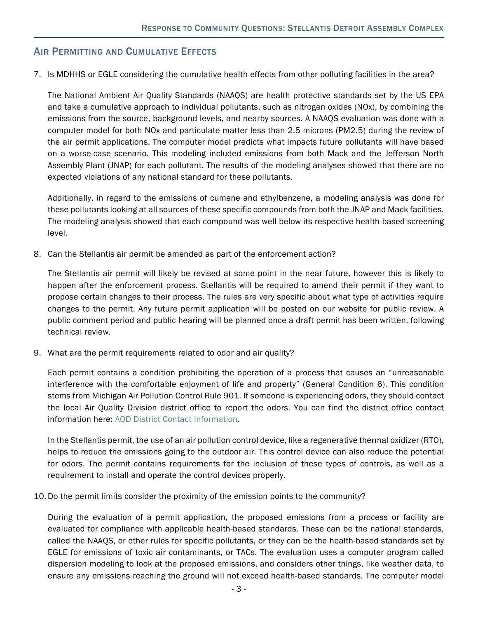# **AIR PERMITTING AND CUMULATIVE EFFECTS**

7. Is MDHHS or EGLE considering the cumulative health effects from other polluting facilities in the area?

The National Ambient Air Quality Standards (NAAQS) are health protective standards set by the US EPA and take a cumulative approach to individual pollutants, such as nitrogen oxides (NOx), by combining the emissions from the source, background levels, and nearby sources. A NAAQS evaluation was done with a computer model for both NOx and particulate matter less than 2.5 microns (PM2.5) during the review of the air permit applications. The computer model predicts what impacts future pollutants will have based on a worse-case scenario. This modeling included emissions from both Mack and the Jefferson North Assembly Plant (JNAP) for each pollutant. The results of the modeling analyses showed that there are no expected violations of any national standard for these pollutants.

Additionally, in regard to the emissions of cumene and ethylbenzene, a modeling analysis was done for these pollutants looking at all sources of these specific compounds from both the JNAP and Mack facilities. The modeling analysis showed that each compound was well below its respective health-based screening level.

8. Can the Stellantis air permit be amended as part of the enforcement action?

The Stellantis air permit will likely be revised at some point in the near future, however this is likely to happen after the enforcement process. Stellantis will be required to amend their permit if they want to propose certain changes to their process. The rules are very specific about what type of activities require changes to the permit. Any future permit application will be posted on our website for public review. A public comment period and public hearing will be planned once a draft permit has been written, following technical review.

9. What are the permit requirements related to odor and air quality?

Each permit contains a condition prohibiting the operation of a process that causes an "unreasonable interference with the comfortable enjoyment of life and property" (General Condition 6). This condition stems from Michigan Air Pollution Control Rule 901. If someone is experiencing odors, they should contact the local Air Quality Division district office to report the odors. You can find the district office contact information here: [AQD District Contact Information.](https://www.michigan.gov/documents/deq/deq-aqd-rop-district_table_530409_7.pdf)

In the Stellantis permit, the use of an air pollution control device, like a regenerative thermal oxidizer (RTO), helps to reduce the emissions going to the outdoor air. This control device can also reduce the potential for odors. The permit contains requirements for the inclusion of these types of controls, as well as a requirement to install and operate the control devices properly.

10. Do the permit limits consider the proximity of the emission points to the community?

During the evaluation of a permit application, the proposed emissions from a process or facility are evaluated for compliance with applicable health-based standards. These can be the national standards, called the NAAQS, or other rules for specific pollutants, or they can be the health-based standards set by EGLE for emissions of toxic air contaminants, or TACs. The evaluation uses a computer program called dispersion modeling to look at the proposed emissions, and considers other things, like weather data, to ensure any emissions reaching the ground will not exceed health-based standards. The computer model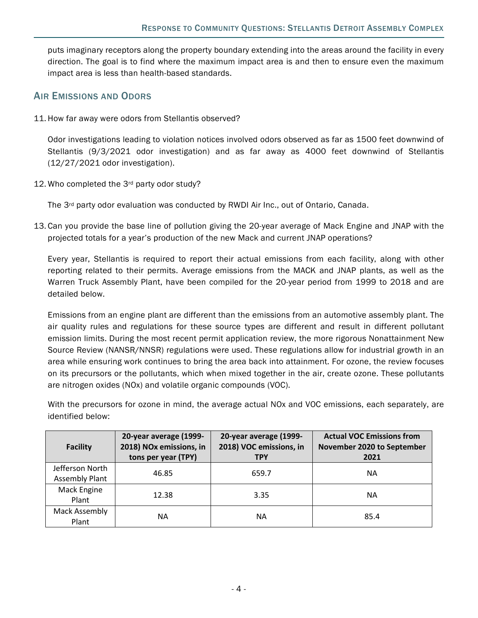puts imaginary receptors along the property boundary extending into the areas around the facility in every direction. The goal is to find where the maximum impact area is and then to ensure even the maximum impact area is less than health-based standards.

### <span id="page-3-0"></span>AIR EMISSIONS AND ODORS

11. How far away were odors from Stellantis observed?

Odor investigations leading to violation notices involved odors observed as far as 1500 feet downwind of Stellantis (9/3/2021 odor investigation) and as far away as 4000 feet downwind of Stellantis (12/27/2021 odor investigation).

12. Who completed the 3rd party odor study?

The 3<sup>rd</sup> party odor evaluation was conducted by RWDI Air Inc., out of Ontario, Canada.

13. Can you provide the base line of pollution giving the 20-year average of Mack Engine and JNAP with the projected totals for a year's production of the new Mack and current JNAP operations?

Every year, Stellantis is required to report their actual emissions from each facility, along with other reporting related to their permits. Average emissions from the MACK and JNAP plants, as well as the Warren Truck Assembly Plant, have been compiled for the 20-year period from 1999 to 2018 and are detailed below.

Emissions from an engine plant are different than the emissions from an automotive assembly plant. The air quality rules and regulations for these source types are different and result in different pollutant emission limits. During the most recent permit application review, the more rigorous Nonattainment New Source Review (NANSR/NNSR) regulations were used. These regulations allow for industrial growth in an area while ensuring work continues to bring the area back into attainment. For ozone, the review focuses on its precursors or the pollutants, which when mixed together in the air, create ozone. These pollutants are nitrogen oxides (NOx) and volatile organic compounds (VOC).

With the precursors for ozone in mind, the average actual NOx and VOC emissions, each separately, are identified below:

<span id="page-3-1"></span>

| <b>Facility</b>                          | 20-year average (1999-<br>2018) NOx emissions, in<br>tons per year (TPY) | 20-year average (1999-<br>2018) VOC emissions, in<br><b>TPY</b> | <b>Actual VOC Emissions from</b><br>November 2020 to September<br>2021 |
|------------------------------------------|--------------------------------------------------------------------------|-----------------------------------------------------------------|------------------------------------------------------------------------|
| Jefferson North<br><b>Assembly Plant</b> | 46.85                                                                    | 659.7                                                           | ΝA                                                                     |
| Mack Engine<br>Plant                     | 12.38                                                                    | 3.35                                                            | ΝA                                                                     |
| Mack Assembly<br>Plant                   | ΝA                                                                       | NА                                                              | 85.4                                                                   |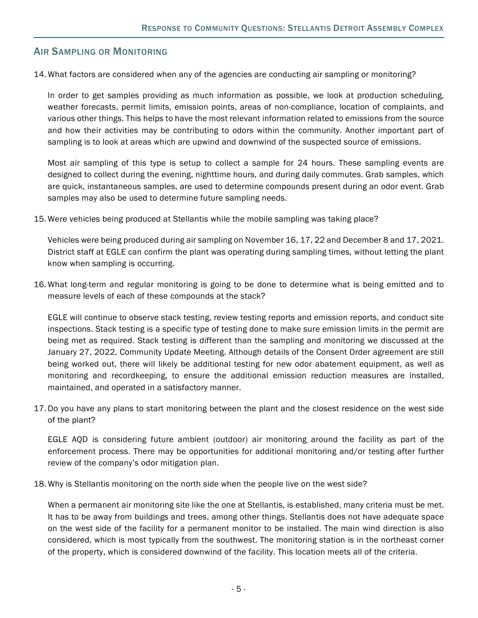# AIR SAMPLING OR MONITORING

14. What factors are considered when any of the agencies are conducting air sampling or monitoring?

In order to get samples providing as much information as possible, we look at production scheduling, weather forecasts, permit limits, emission points, areas of non-compliance, location of complaints, and various other things. This helps to have the most relevant information related to emissions from the source and how their activities may be contributing to odors within the community. Another important part of sampling is to look at areas which are upwind and downwind of the suspected source of emissions.

Most air sampling of this type is setup to collect a sample for 24 hours. These sampling events are designed to collect during the evening, nighttime hours, and during daily commutes. Grab samples, which are quick, instantaneous samples, are used to determine compounds present during an odor event. Grab samples may also be used to determine future sampling needs.

15. Were vehicles being produced at Stellantis while the mobile sampling was taking place?

Vehicles were being produced during air sampling on November 16, 17, 22 and December 8 and 17, 2021. District staff at EGLE can confirm the plant was operating during sampling times, without letting the plant know when sampling is occurring.

16. What long-term and regular monitoring is going to be done to determine what is being emitted and to measure levels of each of these compounds at the stack?

EGLE will continue to observe stack testing, review testing reports and emission reports, and conduct site inspections. Stack testing is a specific type of testing done to make sure emission limits in the permit are being met as required. Stack testing is different than the sampling and monitoring we discussed at the January 27, 2022, Community Update Meeting. Although details of the Consent Order agreement are still being worked out, there will likely be additional testing for new odor abatement equipment, as well as monitoring and recordkeeping, to ensure the additional emission reduction measures are installed, maintained, and operated in a satisfactory manner.

17. Do you have any plans to start monitoring between the plant and the closest residence on the west side of the plant?

EGLE AQD is considering future ambient (outdoor) air monitoring around the facility as part of the enforcement process. There may be opportunities for additional monitoring and/or testing after further review of the company's odor mitigation plan.

18. Why is Stellantis monitoring on the north side when the people live on the west side?

When a permanent air monitoring site like the one at Stellantis, is established, many criteria must be met. It has to be away from buildings and trees, among other things. Stellantis does not have adequate space on the west side of the facility for a permanent monitor to be installed. The main wind direction is also considered, which is most typically from the southwest. The monitoring station is in the northeast corner of the property, which is considered downwind of the facility. This location meets all of the criteria.